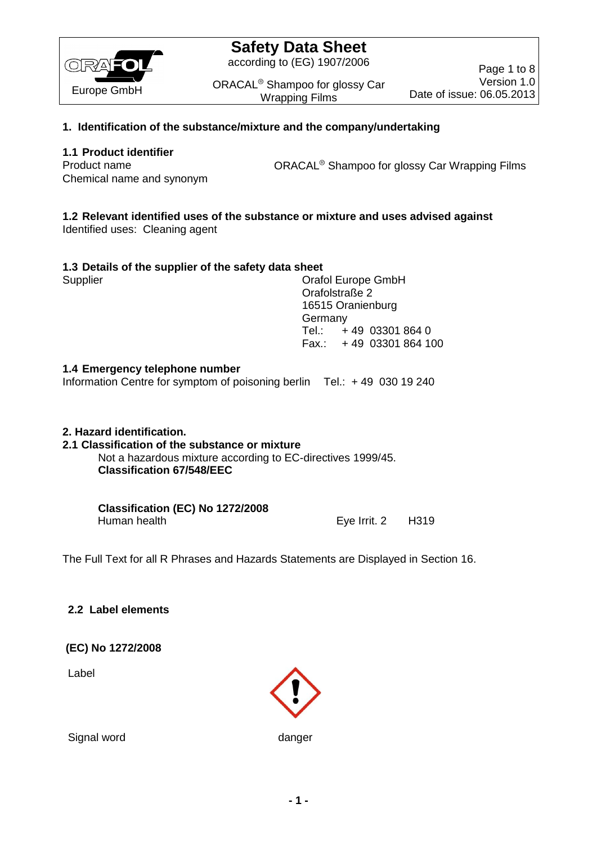

according to (EG) 1907/2006

ORACAL<sup>®</sup> Shampoo for glossy Car Wrapping Films

Page 1 to 8 Version 1.0 Date of issue: 06.05.2013

## **1. Identification of the substance/mixture and the company/undertaking**

## **1.1 Product identifier**

Chemical name and synonym

Product name **ORACAL<sup>®</sup> Shampoo for glossy Car Wrapping Films** 

## **1.2 Relevant identified uses of the substance or mixture and uses advised against**

Identified uses: Cleaning agent

| Supplier | Orafol Europe GmbH      |
|----------|-------------------------|
|          | Orafolstraße 2          |
|          | 16515 Oranienburg       |
|          | Germany                 |
|          | Tel.: $+49$ 03301 864 0 |
|          | Fax.: +49 03301 864 100 |

## **1.4 Emergency telephone number**

Information Centre for symptom of poisoning berlin Tel.: + 49 030 19 240

## **2. Hazard identification.**

## **2.1 Classification of the substance or mixture**

Not a hazardous mixture according to EC-directives 1999/45. **Classification 67/548/EEC**

**Classification (EC) No 1272/2008**  Human health **Eye Irrit. 2** H319

The Full Text for all R Phrases and Hazards Statements are Displayed in Section 16.

## **2.2 Label elements**

### **(EC) No 1272/2008**

Label



Signal word danger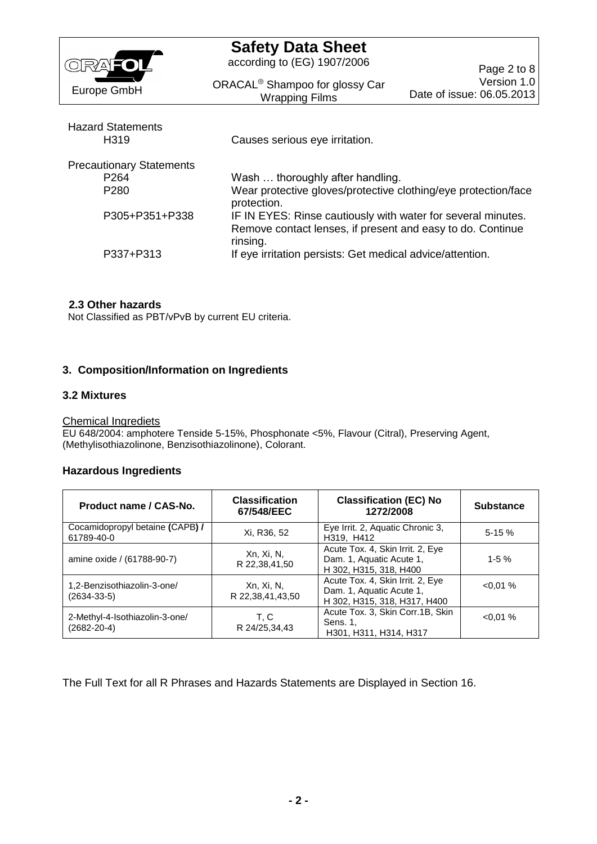| RANIOL                                        | <b>Safety Data Sheet</b><br>according to (EG) 1907/2006                                                                                | Page 2 to 8                              |
|-----------------------------------------------|----------------------------------------------------------------------------------------------------------------------------------------|------------------------------------------|
| Europe GmbH                                   | ORACAL <sup>®</sup> Shampoo for glossy Car<br><b>Wrapping Films</b>                                                                    | Version 1.0<br>Date of issue: 06.05.2013 |
| <b>Hazard Statements</b><br>H <sub>3</sub> 19 | Causes serious eye irritation.                                                                                                         |                                          |
| <b>Precautionary Statements</b>               |                                                                                                                                        |                                          |
| P <sub>264</sub>                              | Wash  thoroughly after handling.                                                                                                       |                                          |
| P <sub>280</sub>                              | Wear protective gloves/protective clothing/eye protection/face<br>protection.                                                          |                                          |
| P305+P351+P338                                | IF IN EYES: Rinse cautiously with water for several minutes.<br>Remove contact lenses, if present and easy to do. Continue<br>rinsing. |                                          |
| P337+P313                                     | If eye irritation persists: Get medical advice/attention.                                                                              |                                          |

### **2.3 Other hazards**

Not Classified as PBT/vPvB by current EU criteria.

### **3. Composition/Information on Ingredients**

### **3.2 Mixtures**

## Chemical Ingrediets

EU 648/2004: amphotere Tenside 5-15%, Phosphonate <5%, Flavour (Citral), Preserving Agent, (Methylisothiazolinone, Benzisothiazolinone), Colorant.

### **Hazardous Ingredients**

| Product name / CAS-No.                              | <b>Classification</b><br>67/548/EEC | <b>Classification (EC) No</b><br>1272/2008                                                   | <b>Substance</b> |
|-----------------------------------------------------|-------------------------------------|----------------------------------------------------------------------------------------------|------------------|
| Cocamidopropyl betaine (CAPB) /<br>61789-40-0       | Xi, R36, 52                         | Eye Irrit. 2, Aquatic Chronic 3,<br>H319, H412                                               | $5-15%$          |
| amine oxide / (61788-90-7)                          | Xn, Xi, N,<br>R 22,38,41,50         | Acute Tox. 4, Skin Irrit. 2, Eye<br>Dam. 1, Aquatic Acute 1,<br>H 302, H315, 318, H400       | $1 - 5%$         |
| 1,2-Benzisothiazolin-3-one/<br>$(2634 - 33 - 5)$    | Xn, Xi, N,<br>R 22,38,41,43,50      | Acute Tox. 4, Skin Irrit. 2, Eye<br>Dam. 1, Aquatic Acute 1,<br>H 302, H315, 318, H317, H400 | $< 0.01 \%$      |
| 2-Methyl-4-Isothiazolin-3-one/<br>$(2682 - 20 - 4)$ | T. C<br>R 24/25,34,43               | Acute Tox. 3, Skin Corr.1B, Skin<br>Sens. 1.<br>H301, H311, H314, H317                       | $< 0.01 \%$      |

The Full Text for all R Phrases and Hazards Statements are Displayed in Section 16.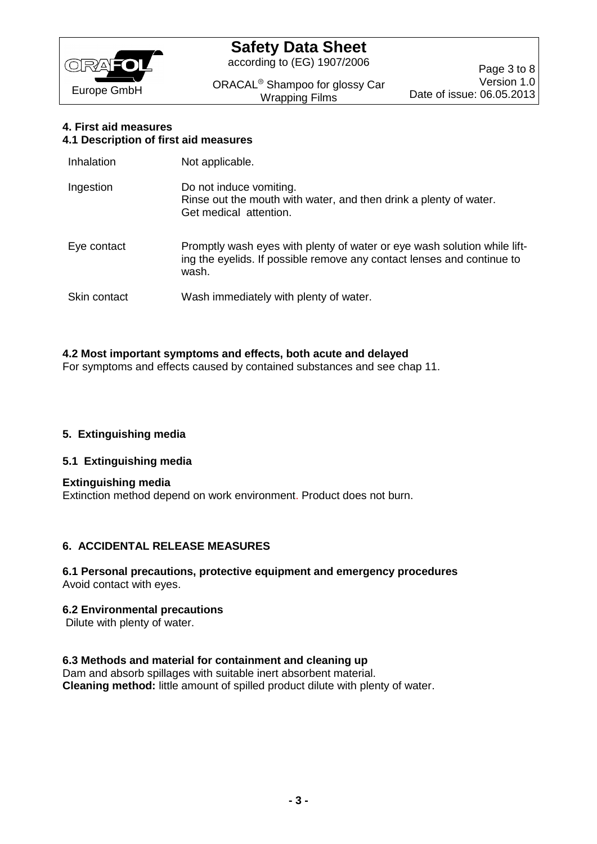

according to (EG) 1907/2006

ORACAL<sup>®</sup> Shampoo for glossy Car Wrapping Films

### **4. First aid measures 4.1 Description of first aid measures**

| Inhalation   | Not applicable.                                                                                                                                             |
|--------------|-------------------------------------------------------------------------------------------------------------------------------------------------------------|
| Ingestion    | Do not induce vomiting.<br>Rinse out the mouth with water, and then drink a plenty of water.<br>Get medical attention.                                      |
| Eye contact  | Promptly wash eyes with plenty of water or eye wash solution while lift-<br>ing the eyelids. If possible remove any contact lenses and continue to<br>wash. |
| Skin contact | Wash immediately with plenty of water.                                                                                                                      |

## **4.2 Most important symptoms and effects, both acute and delayed**

For symptoms and effects caused by contained substances and see chap 11.

## **5. Extinguishing media**

## **5.1 Extinguishing media**

**Extinguishing media** Extinction method depend on work environment. Product does not burn.

## **6. ACCIDENTAL RELEASE MEASURES**

### **6.1 Personal precautions, protective equipment and emergency procedures** Avoid contact with eyes.

### **6.2 Environmental precautions**

Dilute with plenty of water.

### **6.3 Methods and material for containment and cleaning up**

Dam and absorb spillages with suitable inert absorbent material. **Cleaning method:** little amount of spilled product dilute with plenty of water.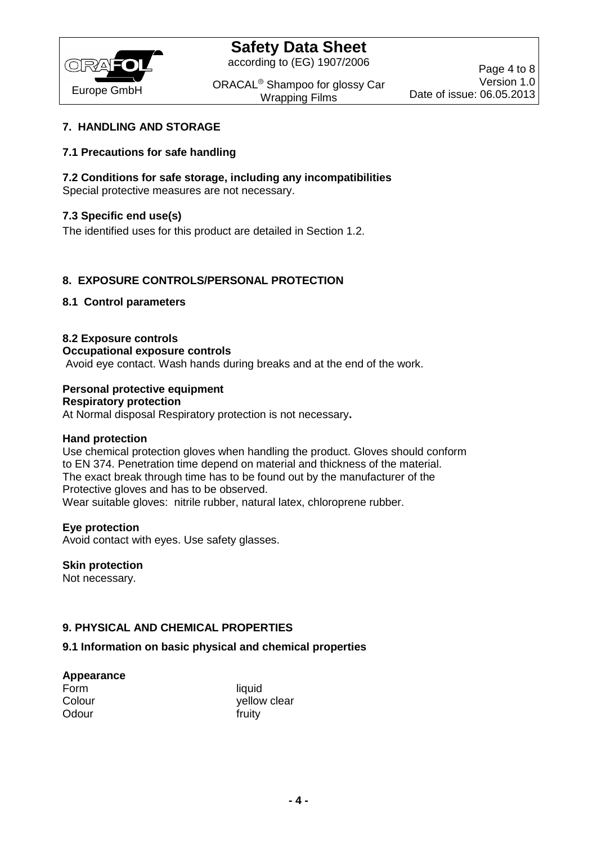

according to (EG) 1907/2006

ORACAL<sup>®</sup> Shampoo for glossy Car Wrapping Films

## **7. HANDLING AND STORAGE**

## **7.1 Precautions for safe handling**

## **7.2 Conditions for safe storage, including any incompatibilities**

Special protective measures are not necessary.

## **7.3 Specific end use(s)**

The identified uses for this product are detailed in Section 1.2.

## **8. EXPOSURE CONTROLS/PERSONAL PROTECTION**

## **8.1 Control parameters**

## **8.2 Exposure controls**

**Occupational exposure controls**

Avoid eye contact. Wash hands during breaks and at the end of the work.

## **Personal protective equipment**

**Respiratory protection**

At Normal disposal Respiratory protection is not necessary**.**

### **Hand protection**

Use chemical protection gloves when handling the product. Gloves should conform to EN 374. Penetration time depend on material and thickness of the material. The exact break through time has to be found out by the manufacturer of the Protective gloves and has to be observed. Wear suitable gloves: nitrile rubber, natural latex, chloroprene rubber.

### **Eye protection**

Avoid contact with eyes. Use safety glasses.

### **Skin protection**

Not necessary.

## **9. PHYSICAL AND CHEMICAL PROPERTIES**

### **9.1 Information on basic physical and chemical properties**

#### **Appearance**

| Form   |  |
|--------|--|
| Colour |  |
| Odour  |  |

liquid yellow clear fruity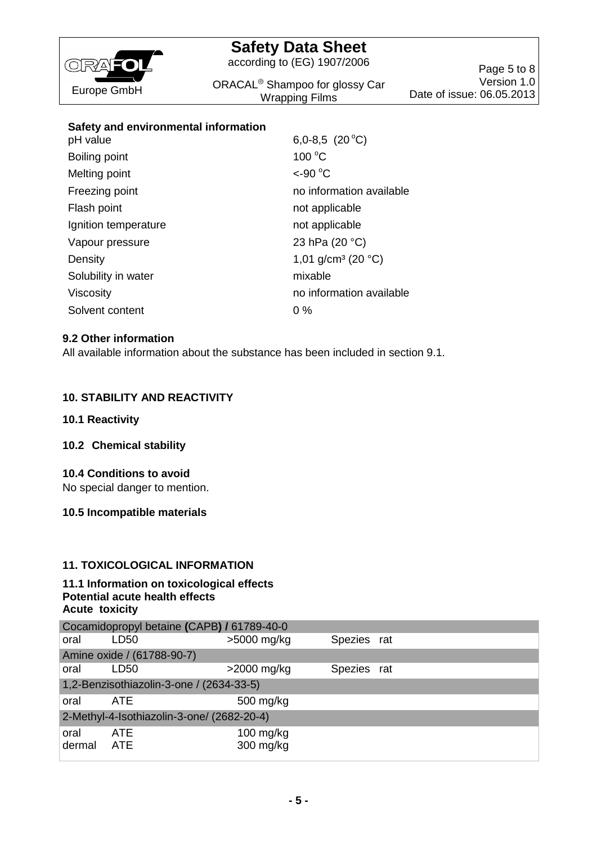

according to (EG) 1907/2006

ORACAL<sup>®</sup> Shampoo for glossy Car Wrapping Films

Page 5 to 8 Version 1.0 Date of issue: 06.05.2013

## **Safety and environmental information**

| pH value             | 6,0-8,5 $(20 °C)$                        |
|----------------------|------------------------------------------|
| Boiling point        | $100^{\circ}$ C                          |
| Melting point        | $<$ -90 $^{\circ}$ C                     |
| Freezing point       | no information available                 |
| Flash point          | not applicable                           |
| Ignition temperature | not applicable                           |
| Vapour pressure      | 23 hPa (20 °C)                           |
| Density              | 1,01 g/cm <sup>3</sup> (20 $^{\circ}$ C) |
| Solubility in water  | mixable                                  |
| <b>Viscosity</b>     | no information available                 |
| Solvent content      | $0\%$                                    |

### **9.2 Other information**

All available information about the substance has been included in section 9.1.

## **10. STABILITY AND REACTIVITY**

### **10.1 Reactivity**

### **10.2 Chemical stability**

### **10.4 Conditions to avoid**

No special danger to mention.

### **10.5 Incompatible materials**

## **11. TOXICOLOGICAL INFORMATION**

### **11.1 Information on toxicological effects Potential acute health effects Acute toxicity**

|                                            | Cocamidopropyl betaine (CAPB) / 61789-40-0 |                          |             |  |
|--------------------------------------------|--------------------------------------------|--------------------------|-------------|--|
| oral                                       | LD <sub>50</sub>                           | $>5000$ mg/kg            | Spezies rat |  |
|                                            | Amine oxide / (61788-90-7)                 |                          |             |  |
| oral                                       | LD50                                       | $>2000$ mg/kg            | Spezies rat |  |
| 1,2-Benzisothiazolin-3-one / (2634-33-5)   |                                            |                          |             |  |
| oral                                       | ATE                                        | 500 mg/kg                |             |  |
| 2-Methyl-4-Isothiazolin-3-one/ (2682-20-4) |                                            |                          |             |  |
| oral<br>dermal                             | ATE<br><b>ATE</b>                          | $100$ mg/kg<br>300 mg/kg |             |  |
|                                            |                                            |                          |             |  |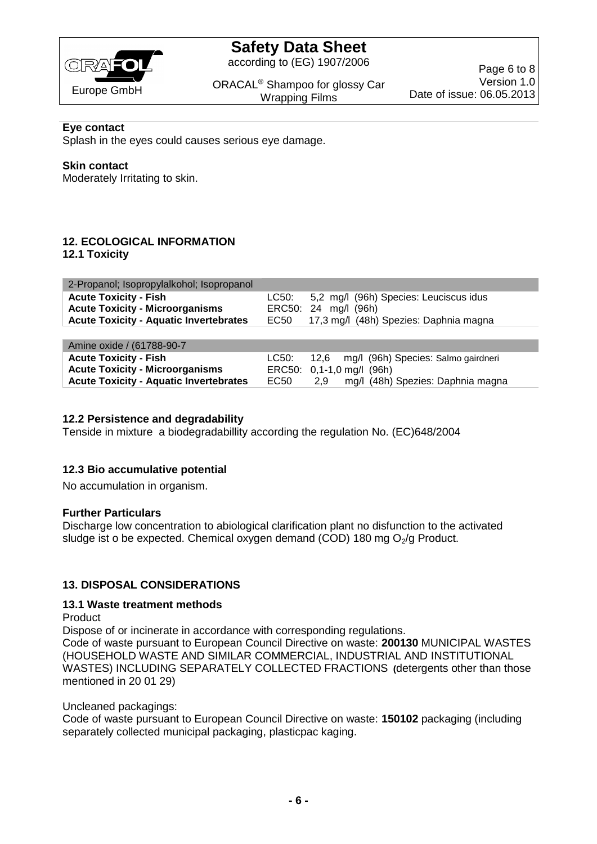

according to (EG) 1907/2006

ORACAL<sup>®</sup> Shampoo for glossy Car Wrapping Films

Page 6 to 8 Version 1.0 Date of issue: 06.05.2013

### **Eye contact**

Splash in the eyes could causes serious eye damage.

### **Skin contact**

Moderately Irritating to skin.

# **12. ECOLOGICAL INFORMATION**

**12.1 Toxicity**

| 2-Propanol; Isopropylalkohol; Isopropanol     |      |                                              |
|-----------------------------------------------|------|----------------------------------------------|
| <b>Acute Toxicity - Fish</b>                  |      | LC50: 5,2 mg/l (96h) Species: Leuciscus idus |
| <b>Acute Toxicity - Microorganisms</b>        |      | ERC50: 24 mg/l (96h)                         |
| <b>Acute Toxicity - Aquatic Invertebrates</b> | EC50 | 17,3 mg/l (48h) Spezies: Daphnia magna       |
|                                               |      |                                              |

| Amine oxide / (61788-90-7)                    |      |                           |                                                |
|-----------------------------------------------|------|---------------------------|------------------------------------------------|
| <b>Acute Toxicity - Fish</b>                  |      |                           | LC50: 12,6 mg/l (96h) Species: Salmo gairdneri |
| <b>Acute Toxicity - Microorganisms</b>        |      | ERC50: 0,1-1,0 mg/l (96h) |                                                |
| <b>Acute Toxicity - Aquatic Invertebrates</b> | EC50 | 2.9                       | mg/l (48h) Spezies: Daphnia magna              |

### **12.2 Persistence and degradability**

Tenside in mixture a biodegradabillity according the regulation No. (EC)648/2004

### **12.3 Bio accumulative potential**

No accumulation in organism.

#### **Further Particulars**

Discharge low concentration to abiological clarification plant no disfunction to the activated sludge ist o be expected. Chemical oxygen demand (COD) 180 mg  $O<sub>2</sub>/g$  Product.

### **13. DISPOSAL CONSIDERATIONS**

#### **13.1 Waste treatment methods**

Product

Dispose of or incinerate in accordance with corresponding regulations. Code of waste pursuant to European Council Directive on waste: **200130** MUNICIPAL WASTES (HOUSEHOLD WASTE AND SIMILAR COMMERCIAL, INDUSTRIAL AND INSTITUTIONAL WASTES) INCLUDING SEPARATELY COLLECTED FRACTIONS **(**detergents other than those mentioned in 20 01 29)

### Uncleaned packagings:

Code of waste pursuant to European Council Directive on waste: **150102** packaging (including separately collected municipal packaging, plasticpac kaging.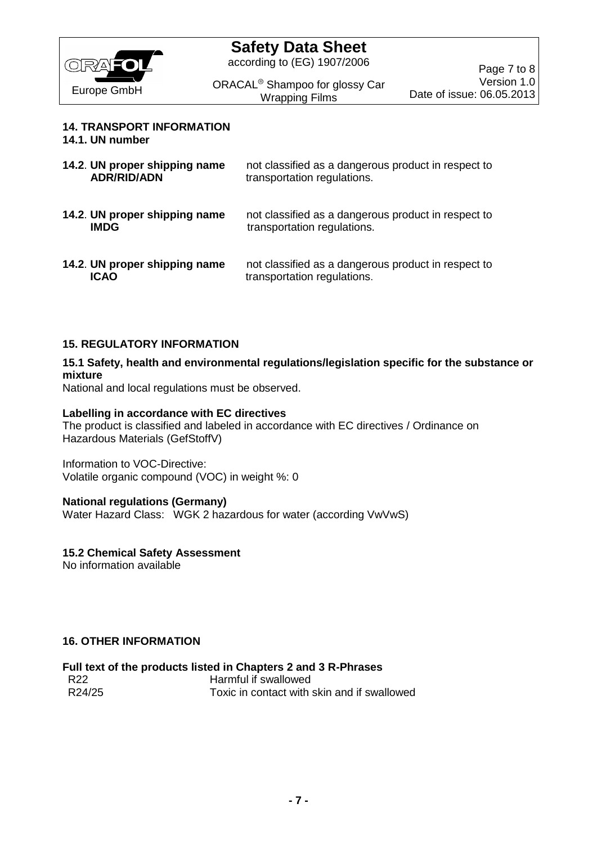

according to (EG) 1907/2006

ORACAL<sup>®</sup> Shampoo for glossy Car Wrapping Films

## **14. TRANSPORT INFORMATION**

**14.1. UN number**

| 14.2. UN proper shipping name | not classified as a dangerous product in respect to |
|-------------------------------|-----------------------------------------------------|
| <b>ADR/RID/ADN</b>            | transportation regulations.                         |
| 14.2. UN proper shipping name | not classified as a dangerous product in respect to |
| <b>IMDG</b>                   | transportation regulations.                         |
| 14.2. UN proper shipping name | not classified as a dangerous product in respect to |
| <b>ICAO</b>                   | transportation regulations.                         |

## **15. REGULATORY INFORMATION**

### **15.1 Safety, health and environmental regulations/legislation specific for the substance or mixture**

National and local regulations must be observed.

### **Labelling in accordance with EC directives**

The product is classified and labeled in accordance with EC directives / Ordinance on Hazardous Materials (GefStoffV)

Information to VOC-Directive: Volatile organic compound (VOC) in weight %: 0

### **National regulations (Germany)**

Water Hazard Class: WGK 2 hazardous for water (according VwVwS)

### **15.2 Chemical Safety Assessment**

No information available

### **16. OTHER INFORMATION**

# **Full text of the products listed in Chapters 2 and 3 R-Phrases**

R22 **Harmful if swallowed**<br>R24/25 **Harmful if swallowed** Toxic in contact with skin and if swallowed